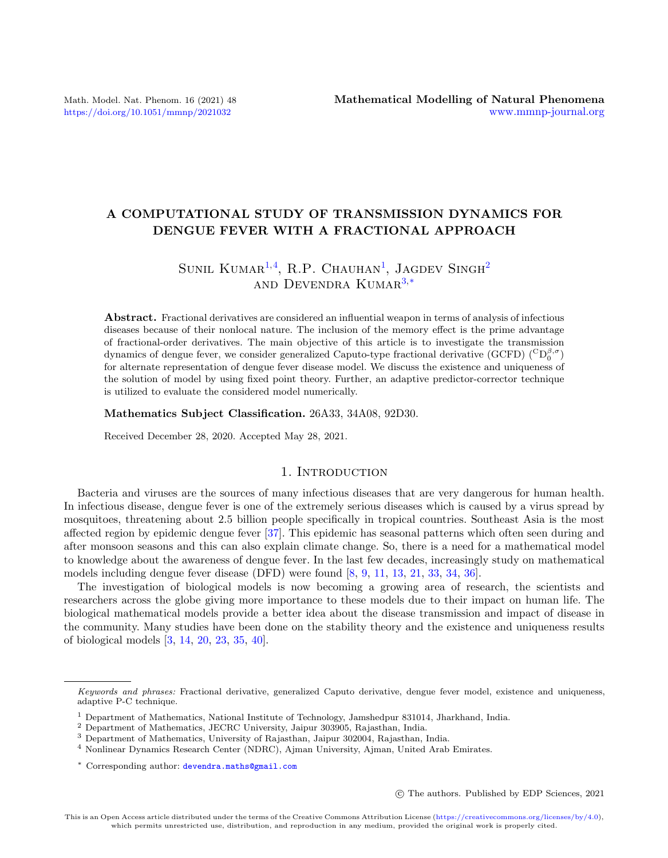# A COMPUTATIONAL STUDY OF TRANSMISSION DYNAMICS FOR DENGUE FEVER WITH A FRACTIONAL APPROACH

# SUNIL KUMAR<sup>[1,](#page-0-0)[4](#page-0-1)</sup>, R.P. CHAUHAN<sup>[1](#page-0-0)</sup>, JAGDEV SINGH<sup>[2](#page-0-2)</sup> AND DEVENDRA KUMAR $3,*$  $3,*$

Abstract. Fractional derivatives are considered an influential weapon in terms of analysis of infectious diseases because of their nonlocal nature. The inclusion of the memory effect is the prime advantage of fractional-order derivatives. The main objective of this article is to investigate the transmission dynamics of dengue fever, we consider generalized Caputo-type fractional derivative (GCFD)  $\binom{C D_0^{\beta,\sigma}}{D}$ for alternate representation of dengue fever disease model. We discuss the existence and uniqueness of the solution of model by using fixed point theory. Further, an adaptive predictor-corrector technique is utilized to evaluate the considered model numerically.

Mathematics Subject Classification. 26A33, 34A08, 92D30.

Received December 28, 2020. Accepted May 28, 2021.

# 1. INTRODUCTION

Bacteria and viruses are the sources of many infectious diseases that are very dangerous for human health. In infectious disease, dengue fever is one of the extremely serious diseases which is caused by a virus spread by mosquitoes, threatening about 2.5 billion people specifically in tropical countries. Southeast Asia is the most affected region by epidemic dengue fever [\[37\]](#page-12-0). This epidemic has seasonal patterns which often seen during and after monsoon seasons and this can also explain climate change. So, there is a need for a mathematical model to knowledge about the awareness of dengue fever. In the last few decades, increasingly study on mathematical models including dengue fever disease (DFD) were found [\[8,](#page-11-0) [9,](#page-11-1) [11,](#page-11-2) [13,](#page-11-3) [21,](#page-11-4) [33,](#page-11-5) [34,](#page-11-6) [36\]](#page-12-1).

The investigation of biological models is now becoming a growing area of research, the scientists and researchers across the globe giving more importance to these models due to their impact on human life. The biological mathematical models provide a better idea about the disease transmission and impact of disease in the community. Many studies have been done on the stability theory and the existence and uniqueness results of biological models [\[3,](#page-11-7) [14,](#page-11-8) [20,](#page-11-9) [23,](#page-11-10) [35,](#page-12-2) [40\]](#page-12-3).

c The authors. Published by EDP Sciences, 2021

<span id="page-0-4"></span>Keywords and phrases: Fractional derivative, generalized Caputo derivative, dengue fever model, existence and uniqueness, adaptive P-C technique.

<span id="page-0-0"></span><sup>1</sup> Department of Mathematics, National Institute of Technology, Jamshedpur 831014, Jharkhand, India.

<span id="page-0-2"></span><sup>2</sup> Department of Mathematics, JECRC University, Jaipur 303905, Rajasthan, India.

<span id="page-0-3"></span><sup>3</sup> Department of Mathematics, University of Rajasthan, Jaipur 302004, Rajasthan, India.

<span id="page-0-1"></span><sup>4</sup> Nonlinear Dynamics Research Center (NDRC), Ajman University, Ajman, United Arab Emirates.

<sup>\*</sup> Corresponding author: [devendra.maths@gmail.com](mailto:devendra.maths@gmail.com)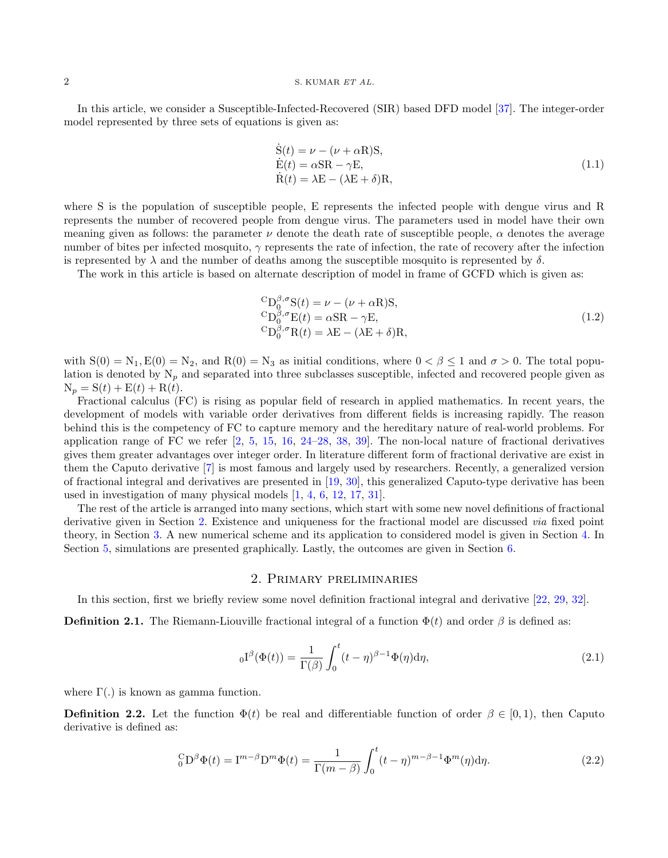### 2 S. KUMAR ET AL.

In this article, we consider a Susceptible-Infected-Recovered (SIR) based DFD model [\[37\]](#page-12-0). The integer-order model represented by three sets of equations is given as:

$$
\dot{S}(t) = \nu - (\nu + \alpha R)S,\n\dot{E}(t) = \alpha SR - \gamma E,\n\dot{R}(t) = \lambda E - (\lambda E + \delta)R,
$$
\n(1.1)

where S is the population of susceptible people, E represents the infected people with dengue virus and R represents the number of recovered people from dengue virus. The parameters used in model have their own meaning given as follows: the parameter  $\nu$  denote the death rate of susceptible people,  $\alpha$  denotes the average number of bites per infected mosquito,  $\gamma$  represents the rate of infection, the rate of recovery after the infection is represented by  $\lambda$  and the number of deaths among the susceptible mosquito is represented by  $\delta$ .

The work in this article is based on alternate description of model in frame of GCFD which is given as:

<span id="page-1-1"></span>
$$
{}^{C}D_{0}^{\beta,\sigma}S(t) = \nu - (\nu + \alpha R)S,\n{}^{C}D_{0}^{\beta,\sigma}E(t) = \alpha SR - \gamma E,\n{}^{C}D_{0}^{\beta,\sigma}R(t) = \lambda E - (\lambda E + \delta)R,
$$
\n(1.2)

with  $S(0) = N_1, E(0) = N_2$ , and  $R(0) = N_3$  as initial conditions, where  $0 < \beta \le 1$  and  $\sigma > 0$ . The total population is denoted by  $N_p$  and separated into three subclasses susceptible, infected and recovered people given as  $N_p = S(t) + E(t) + R(t).$ 

Fractional calculus (FC) is rising as popular field of research in applied mathematics. In recent years, the development of models with variable order derivatives from different fields is increasing rapidly. The reason behind this is the competency of FC to capture memory and the hereditary nature of real-world problems. For application range of FC we refer [\[2,](#page-11-11) [5,](#page-11-12) [15,](#page-11-13) [16,](#page-11-14) [24–](#page-11-15)[28,](#page-11-16) [38,](#page-12-4) [39\]](#page-12-5). The non-local nature of fractional derivatives gives them greater advantages over integer order. In literature different form of fractional derivative are exist in them the Caputo derivative [\[7\]](#page-11-17) is most famous and largely used by researchers. Recently, a generalized version of fractional integral and derivatives are presented in [\[19,](#page-11-18) [30\]](#page-11-19), this generalized Caputo-type derivative has been used in investigation of many physical models [\[1,](#page-11-20) [4,](#page-11-21) [6,](#page-11-22) [12,](#page-11-23) [17,](#page-11-24) [31\]](#page-11-25).

The rest of the article is arranged into many sections, which start with some new novel definitions of fractional derivative given in Section [2.](#page-1-0) Existence and uniqueness for the fractional model are discussed via fixed point theory, in Section [3.](#page-2-0) A new numerical scheme and its application to considered model is given in Section [4.](#page-5-0) In Section [5,](#page-8-0) simulations are presented graphically. Lastly, the outcomes are given in Section [6.](#page-9-0)

## 2. Primary preliminaries

<span id="page-1-0"></span>In this section, first we briefly review some novel definition fractional integral and derivative [\[22,](#page-11-26) [29,](#page-11-27) [32\]](#page-11-28).

**Definition 2.1.** The Riemann-Liouville fractional integral of a function  $\Phi(t)$  and order  $\beta$  is defined as:

$$
{}_{0}I^{\beta}(\Phi(t)) = \frac{1}{\Gamma(\beta)} \int_{0}^{t} (t - \eta)^{\beta - 1} \Phi(\eta) d\eta,
$$
\n(2.1)

where  $\Gamma(.)$  is known as gamma function.

**Definition 2.2.** Let the function  $\Phi(t)$  be real and differentiable function of order  $\beta \in [0, 1)$ , then Caputo derivative is defined as:

$$
{}_0^C D^\beta \Phi(t) = I^{m-\beta} D^m \Phi(t) = \frac{1}{\Gamma(m-\beta)} \int_0^t (t-\eta)^{m-\beta-1} \Phi^m(\eta) d\eta.
$$
 (2.2)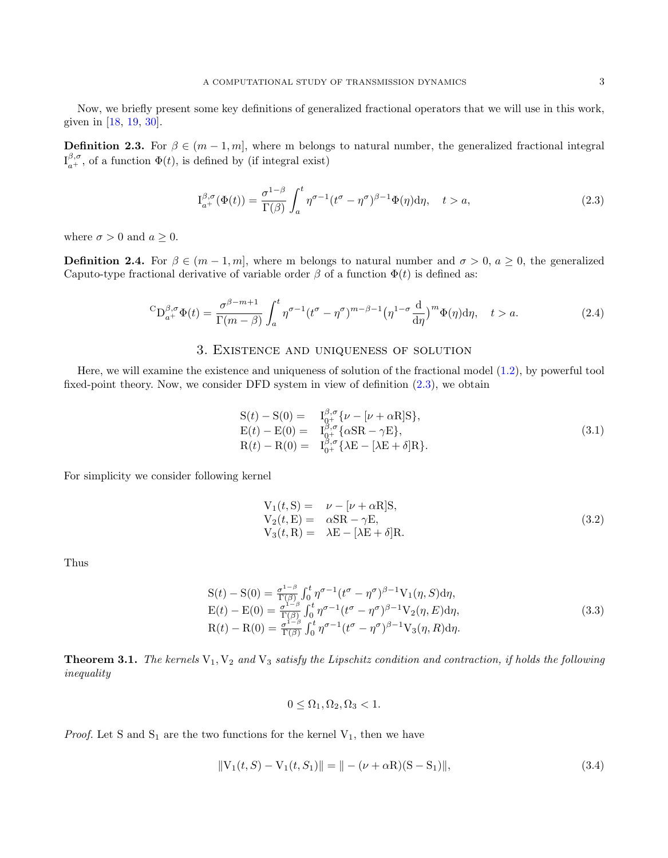Now, we briefly present some key definitions of generalized fractional operators that we will use in this work, given in [\[18,](#page-11-29) [19,](#page-11-18) [30\]](#page-11-19).

**Definition 2.3.** For  $\beta \in (m-1, m]$ , where m belongs to natural number, the generalized fractional integral  $I_{a^{+}}^{\beta,\sigma}$ , of a function  $\Phi(t)$ , is defined by (if integral exist)

<span id="page-2-1"></span>
$$
I_{a^{+}}^{\beta,\sigma}(\Phi(t)) = \frac{\sigma^{1-\beta}}{\Gamma(\beta)} \int_{a}^{t} \eta^{\sigma-1} (t^{\sigma} - \eta^{\sigma})^{\beta-1} \Phi(\eta) d\eta, \quad t > a,
$$
\n(2.3)

where  $\sigma > 0$  and  $a \geq 0$ .

**Definition 2.4.** For  $\beta \in (m-1,m]$ , where m belongs to natural number and  $\sigma > 0$ ,  $a \ge 0$ , the generalized Caputo-type fractional derivative of variable order  $\beta$  of a function  $\Phi(t)$  is defined as:

$$
{}^{C}D_{a^{+}}^{\beta,\sigma}\Phi(t) = \frac{\sigma^{\beta-m+1}}{\Gamma(m-\beta)} \int_{a}^{t} \eta^{\sigma-1} (t^{\sigma} - \eta^{\sigma})^{m-\beta-1} (\eta^{1-\sigma} \frac{d}{d\eta})^{m} \Phi(\eta) d\eta, \quad t > a.
$$
 (2.4)

# 3. Existence and uniqueness of solution

<span id="page-2-0"></span>Here, we will examine the existence and uniqueness of solution of the fractional model [\(1.2\)](#page-1-1), by powerful tool fixed-point theory. Now, we consider DFD system in view of definition [\(2.3\)](#page-2-1), we obtain

$$
S(t) - S(0) = I_{0^{+}}^{\beta,\sigma} \{ \nu - [\nu + \alpha R]S \},
$$
  
\n
$$
E(t) - E(0) = I_{0^{+}}^{\beta,\sigma} \{ \alpha SR - \gamma E \},
$$
  
\n
$$
R(t) - R(0) = I_{0^{+}}^{\beta,\sigma} \{ \lambda E - [\lambda E + \delta]R \}.
$$
\n(3.1)

For simplicity we consider following kernel

$$
V_1(t, S) = \nu - [\nu + \alpha R]S,V_2(t, E) = \alpha SR - \gamma E,V_3(t, R) = \lambda E - [\lambda E + \delta]R.
$$
\n(3.2)

Thus

<span id="page-2-2"></span>
$$
S(t) - S(0) = \frac{\sigma^{1-\beta}}{\Gamma(\beta)} \int_0^t \eta^{\sigma-1} (t^{\sigma} - \eta^{\sigma})^{\beta-1} V_1(\eta, S) d\eta,
$$
  
\n
$$
E(t) - E(0) = \frac{\sigma^{1-\beta}}{\Gamma(\beta)} \int_0^t \eta^{\sigma-1} (t^{\sigma} - \eta^{\sigma})^{\beta-1} V_2(\eta, E) d\eta,
$$
  
\n
$$
R(t) - R(0) = \frac{\sigma^{1-\beta}}{\Gamma(\beta)} \int_0^t \eta^{\sigma-1} (t^{\sigma} - \eta^{\sigma})^{\beta-1} V_3(\eta, R) d\eta.
$$
\n(3.3)

**Theorem 3.1.** The kernels  $V_1, V_2$  and  $V_3$  satisfy the Lipschitz condition and contraction, if holds the following inequality

$$
0 \leq \Omega_1, \Omega_2, \Omega_3 < 1.
$$

*Proof.* Let S and  $S_1$  are the two functions for the kernel  $V_1$ , then we have

$$
||V_1(t, S) - V_1(t, S_1)|| = || - (\nu + \alpha R)(S - S_1) ||,
$$
\n(3.4)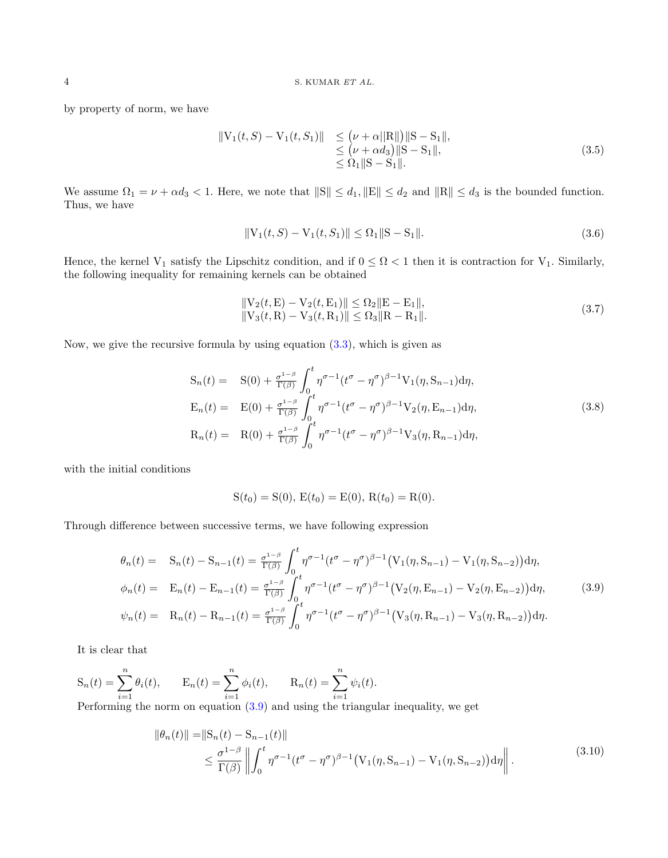by property of norm, we have

$$
\begin{aligned} \|V_1(t,S) - V_1(t,S_1)\| &\leq \left(\nu + \alpha \|R\| \right) \|S - S_1\|, \\ &\leq \left(\nu + \alpha d_3\right) \|S - S_1\|, \\ &\leq \Omega_1 \|S - S_1\|. \end{aligned} \tag{3.5}
$$

We assume  $\Omega_1 = \nu + \alpha d_3 < 1$ . Here, we note that  $||S|| \leq d_1, ||E|| \leq d_2$  and  $||R|| \leq d_3$  is the bounded function. Thus, we have

$$
||V_1(t, S) - V_1(t, S_1)|| \le \Omega_1 ||S - S_1||. \tag{3.6}
$$

Hence, the kernel V<sub>1</sub> satisfy the Lipschitz condition, and if  $0 \leq \Omega < 1$  then it is contraction for V<sub>1</sub>. Similarly, the following inequality for remaining kernels can be obtained

$$
||V_2(t, E) - V_2(t, E_1)|| \le \Omega_2 ||E - E_1||,
$$
  
\n
$$
||V_3(t, R) - V_3(t, R_1)|| \le \Omega_3 ||R - R_1||.
$$
\n(3.7)

Now, we give the recursive formula by using equation  $(3.3)$ , which is given as

$$
S_n(t) = S(0) + \frac{\sigma^{1-\beta}}{\Gamma(\beta)} \int_0^t \eta^{\sigma-1} (t^{\sigma} - \eta^{\sigma})^{\beta-1} V_1(\eta, S_{n-1}) d\eta,
$$
  
\n
$$
E_n(t) = E(0) + \frac{\sigma^{1-\beta}}{\Gamma(\beta)} \int_0^t \eta^{\sigma-1} (t^{\sigma} - \eta^{\sigma})^{\beta-1} V_2(\eta, E_{n-1}) d\eta,
$$
  
\n
$$
R_n(t) = R(0) + \frac{\sigma^{1-\beta}}{\Gamma(\beta)} \int_0^t \eta^{\sigma-1} (t^{\sigma} - \eta^{\sigma})^{\beta-1} V_3(\eta, R_{n-1}) d\eta,
$$
\n(3.8)

with the initial conditions

$$
S(t_0) = S(0), E(t_0) = E(0), R(t_0) = R(0).
$$

Through difference between successive terms, we have following expression

<span id="page-3-0"></span>
$$
\theta_n(t) = \mathbf{S}_n(t) - \mathbf{S}_{n-1}(t) = \frac{\sigma^{1-\beta}}{\Gamma(\beta)} \int_0^t \eta^{\sigma-1} (t^{\sigma} - \eta^{\sigma})^{\beta-1} (\mathbf{V}_1(\eta, \mathbf{S}_{n-1}) - \mathbf{V}_1(\eta, \mathbf{S}_{n-2})) d\eta,
$$
  
\n
$$
\phi_n(t) = \mathbf{E}_n(t) - \mathbf{E}_{n-1}(t) = \frac{\sigma^{1-\beta}}{\Gamma(\beta)} \int_0^t \eta^{\sigma-1} (t^{\sigma} - \eta^{\sigma})^{\beta-1} (\mathbf{V}_2(\eta, \mathbf{E}_{n-1}) - \mathbf{V}_2(\eta, \mathbf{E}_{n-2})) d\eta,
$$
  
\n
$$
\psi_n(t) = \mathbf{R}_n(t) - \mathbf{R}_{n-1}(t) = \frac{\sigma^{1-\beta}}{\Gamma(\beta)} \int_0^t \eta^{\sigma-1} (t^{\sigma} - \eta^{\sigma})^{\beta-1} (\mathbf{V}_3(\eta, \mathbf{R}_{n-1}) - \mathbf{V}_3(\eta, \mathbf{R}_{n-2})) d\eta.
$$
\n(3.9)

It is clear that

$$
S_n(t) = \sum_{i=1}^n \theta_i(t), \qquad E_n(t) = \sum_{i=1}^n \phi_i(t), \qquad R_n(t) = \sum_{i=1}^n \psi_i(t).
$$

Performing the norm on equation [\(3.9\)](#page-3-0) and using the triangular inequality, we get

$$
\|\theta_n(t)\| = \|S_n(t) - S_{n-1}(t)\|
$$
  
\n
$$
\leq \frac{\sigma^{1-\beta}}{\Gamma(\beta)} \left\| \int_0^t \eta^{\sigma-1} (t^{\sigma} - \eta^{\sigma})^{\beta-1} \left( V_1(\eta, S_{n-1}) - V_1(\eta, S_{n-2}) \right) d\eta \right\|.
$$
\n(3.10)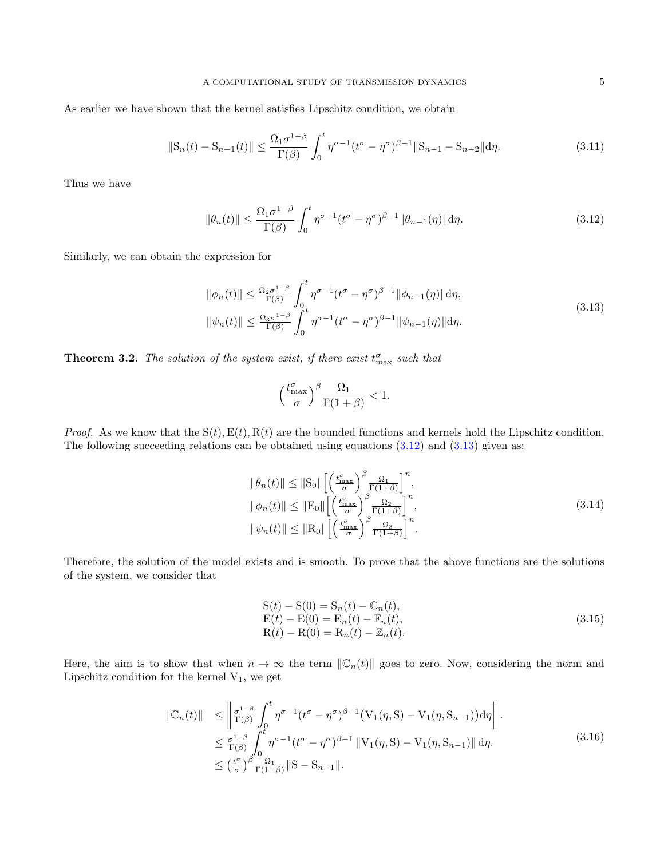As earlier we have shown that the kernel satisfies Lipschitz condition, we obtain

$$
||S_n(t) - S_{n-1}(t)|| \le \frac{\Omega_1 \sigma^{1-\beta}}{\Gamma(\beta)} \int_0^t \eta^{\sigma-1} (t^{\sigma} - \eta^{\sigma})^{\beta-1} ||S_{n-1} - S_{n-2}|| d\eta.
$$
 (3.11)

Thus we have

<span id="page-4-0"></span>
$$
\|\theta_n(t)\| \le \frac{\Omega_1 \sigma^{1-\beta}}{\Gamma(\beta)} \int_0^t \eta^{\sigma-1} (t^{\sigma} - \eta^{\sigma})^{\beta-1} \|\theta_{n-1}(\eta)\| d\eta. \tag{3.12}
$$

Similarly, we can obtain the expression for

<span id="page-4-1"></span>
$$
\|\phi_n(t)\| \le \frac{\Omega_2 \sigma^{1-\beta}}{\Gamma(\beta)} \int_0^t \eta^{\sigma-1} (t^{\sigma} - \eta^{\sigma})^{\beta-1} \|\phi_{n-1}(\eta)\| d\eta,
$$
  

$$
\|\psi_n(t)\| \le \frac{\Omega_3 \sigma^{1-\beta}}{\Gamma(\beta)} \int_0^t \eta^{\sigma-1} (t^{\sigma} - \eta^{\sigma})^{\beta-1} \|\psi_{n-1}(\eta)\| d\eta.
$$
 (3.13)

**Theorem 3.2.** The solution of the system exist, if there exist  $t_{\text{max}}^{\sigma}$  such that

$$
\Big(\frac{t_{\max}^{\sigma}}{\sigma}\Big)^{\beta}\frac{\Omega_1}{\Gamma(1+\beta)}<1.
$$

*Proof.* As we know that the  $S(t)$ ,  $E(t)$ ,  $R(t)$  are the bounded functions and kernels hold the Lipschitz condition. The following succeeding relations can be obtained using equations  $(3.12)$  and  $(3.13)$  given as:

$$
\|\theta_n(t)\| \leq \|\mathcal{S}_0\| \left[ \left(\frac{t_{\text{max}}^{\sigma}}{\sigma}\right)^{\beta} \frac{\Omega_1}{\Gamma(1+\beta)} \right]^n,
$$
  

$$
\|\phi_n(t)\| \leq \|\mathcal{E}_0\| \left[ \left(\frac{t_{\text{max}}^{\sigma}}{\sigma}\right)^{\beta} \frac{\Omega_2}{\Gamma(1+\beta)} \right]^n,
$$
  

$$
\|\psi_n(t)\| \leq \|\mathcal{R}_0\| \left[ \left(\frac{t_{\text{max}}^{\sigma}}{\sigma}\right)^{\beta} \frac{\Omega_3}{\Gamma(1+\beta)} \right]^n.
$$
 (3.14)

Therefore, the solution of the model exists and is smooth. To prove that the above functions are the solutions of the system, we consider that

$$
S(t) - S(0) = S_n(t) - C_n(t),
$$
  
\n
$$
E(t) - E(0) = E_n(t) - F_n(t),
$$
  
\n
$$
R(t) - R(0) = R_n(t) - Z_n(t).
$$
\n(3.15)

Here, the aim is to show that when  $n \to \infty$  the term  $\|\mathcal{C}_n(t)\|$  goes to zero. Now, considering the norm and Lipschitz condition for the kernel  $V_1$ , we get

$$
\begin{split}\n\|\mathbb{C}_{n}(t)\| &\leq \left\|\frac{\sigma^{1-\beta}}{\Gamma(\beta)} \int_{0}^{t} \eta^{\sigma-1} (t^{\sigma} - \eta^{\sigma})^{\beta-1} \left(\mathbf{V}_{1}(\eta, \mathbf{S}) - \mathbf{V}_{1}(\eta, \mathbf{S}_{n-1})\right) d\eta\right\| \\
&\leq \frac{\sigma^{1-\beta}}{\Gamma(\beta)} \int_{0}^{t} \eta^{\sigma-1} (t^{\sigma} - \eta^{\sigma})^{\beta-1} \left\|\mathbf{V}_{1}(\eta, \mathbf{S}) - \mathbf{V}_{1}(\eta, \mathbf{S}_{n-1})\right\| d\eta. \\
&\leq \left(\frac{t^{\sigma}}{\sigma}\right)^{\beta} \frac{\Omega_{1}}{\Gamma(1+\beta)} \|\mathbf{S} - \mathbf{S}_{n-1}\|.\n\end{split} \tag{3.16}
$$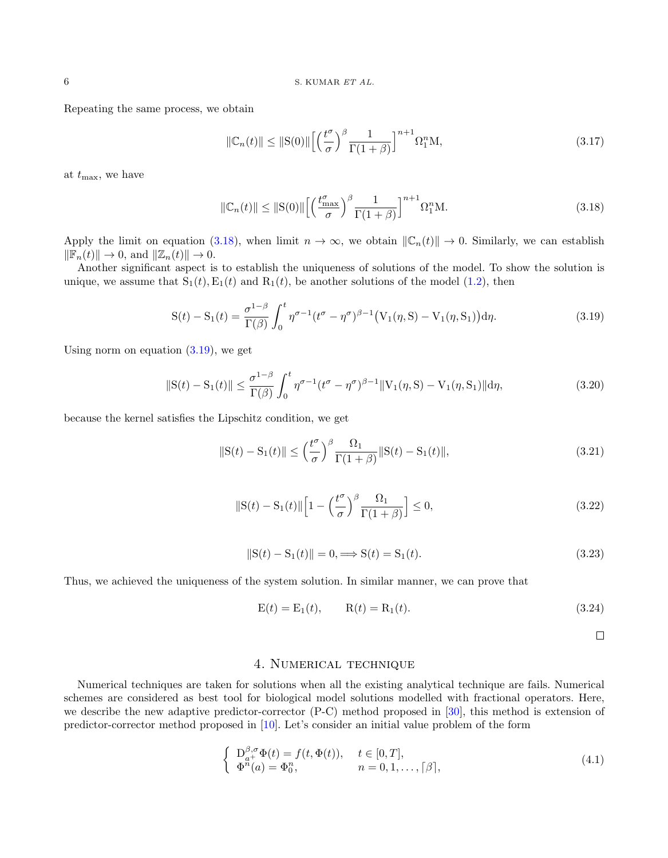Repeating the same process, we obtain

$$
\|\mathbb{C}_n(t)\| \le \|\mathcal{S}(0)\| \left[ \left(\frac{t^{\sigma}}{\sigma}\right)^{\beta} \frac{1}{\Gamma(1+\beta)} \right]^{n+1} \Omega_1^n \mathcal{M},\tag{3.17}
$$

at  $t_{\text{max}}$ , we have

<span id="page-5-1"></span>
$$
\|\mathbb{C}_n(t)\| \le \|\mathbf{S}(0)\| \left[ \left(\frac{t_{\text{max}}^{\sigma}}{\sigma}\right)^{\beta} \frac{1}{\Gamma(1+\beta)} \right]^{n+1} \Omega_1^n \mathbf{M}. \tag{3.18}
$$

Apply the limit on equation [\(3.18\)](#page-5-1), when limit  $n \to \infty$ , we obtain  $\|\mathbb{C}_n(t)\| \to 0$ . Similarly, we can establish  $\|\mathbb{F}_n(t)\| \to 0$ , and  $\|\mathbb{Z}_n(t)\| \to 0$ .

Another significant aspect is to establish the uniqueness of solutions of the model. To show the solution is unique, we assume that  $S_1(t), E_1(t)$  and  $R_1(t)$ , be another solutions of the model [\(1.2\)](#page-1-1), then

<span id="page-5-2"></span>
$$
S(t) - S_1(t) = \frac{\sigma^{1-\beta}}{\Gamma(\beta)} \int_0^t \eta^{\sigma-1} (t^{\sigma} - \eta^{\sigma})^{\beta-1} (V_1(\eta, S) - V_1(\eta, S_1)) d\eta.
$$
 (3.19)

Using norm on equation  $(3.19)$ , we get

$$
\|S(t) - S_1(t)\| \le \frac{\sigma^{1-\beta}}{\Gamma(\beta)} \int_0^t \eta^{\sigma-1} (t^{\sigma} - \eta^{\sigma})^{\beta-1} \|V_1(\eta, S) - V_1(\eta, S_1)\| d\eta,
$$
\n(3.20)

because the kernel satisfies the Lipschitz condition, we get

$$
\|S(t) - S_1(t)\| \le \left(\frac{t^{\sigma}}{\sigma}\right)^{\beta} \frac{\Omega_1}{\Gamma(1+\beta)} \|S(t) - S_1(t)\|,
$$
\n(3.21)

$$
\|\mathbf{S}(t) - \mathbf{S}_1(t)\| \left[ 1 - \left(\frac{t^{\sigma}}{\sigma}\right)^{\beta} \frac{\Omega_1}{\Gamma(1+\beta)} \right] \le 0,\tag{3.22}
$$

$$
||S(t) - S_1(t)|| = 0 \Longrightarrow S(t) = S_1(t). \tag{3.23}
$$

Thus, we achieved the uniqueness of the system solution. In similar manner, we can prove that

$$
E(t) = E_1(t), \qquad R(t) = R_1(t). \tag{3.24}
$$

 $\Box$ 

## 4. Numerical technique

<span id="page-5-0"></span>Numerical techniques are taken for solutions when all the existing analytical technique are fails. Numerical schemes are considered as best tool for biological model solutions modelled with fractional operators. Here, we describe the new adaptive predictor-corrector (P-C) method proposed in [\[30\]](#page-11-19), this method is extension of predictor-corrector method proposed in [\[10\]](#page-11-30). Let's consider an initial value problem of the form

<span id="page-5-3"></span>
$$
\begin{cases}\nD_{a+}^{\beta,\sigma}\Phi(t) = f(t,\Phi(t)), & t \in [0,T], \\
\Phi^n(a) = \Phi_0^n, & n = 0,1,\ldots, \lceil \beta \rceil,\n\end{cases}
$$
\n(4.1)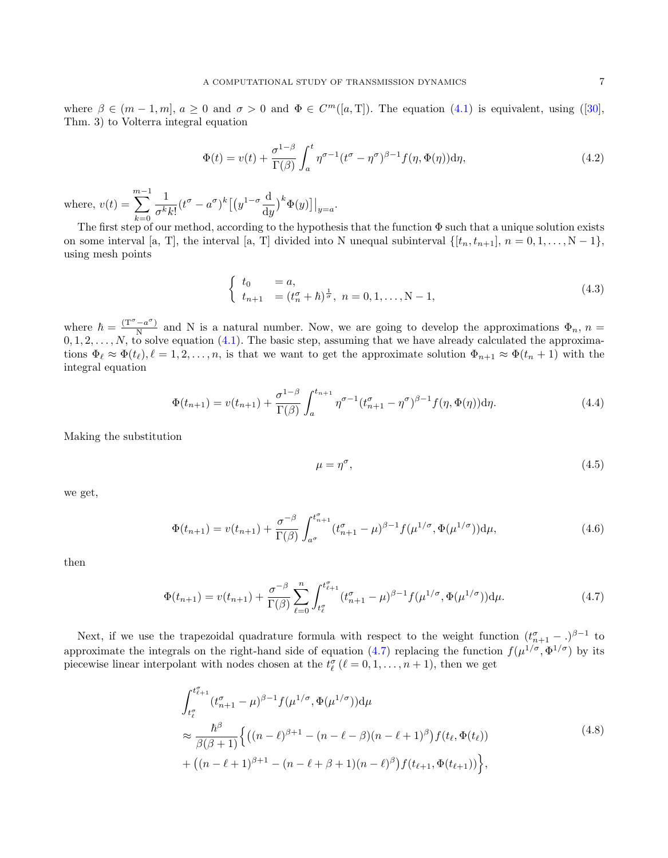where $\beta \in (m-1,m], a \ge 0$  and  $\sigma > 0$  and  $\Phi \in C^m([a, T]).$  The equation  $(4.1)$  is equivalent, using  $([30],$  $([30],$  $([30],$ Thm. 3) to Volterra integral equation

$$
\Phi(t) = v(t) + \frac{\sigma^{1-\beta}}{\Gamma(\beta)} \int_a^t \eta^{\sigma-1} (t^{\sigma} - \eta^{\sigma})^{\beta-1} f(\eta, \Phi(\eta)) d\eta,
$$
\n(4.2)

where,  $v(t) =$  $\sum^{m-1}$  $k=0$ 1  $\frac{1}{\sigma^k k!} (t^{\sigma} - a^{\sigma})^k \big[ \big( y^{1-\sigma} \frac{\mathrm{d}}{\mathrm{d} y}$  $\frac{\mathrm{d}}{\mathrm{d}y}$ <sup>k</sup> $\Phi(y)\big] \big|_{y=a}$ .

The first step of our method, according to the hypothesis that the function Φ such that a unique solution exists on some interval [a, T], the interval [a, T] divided into N unequal subinterval  $\{[t_n, t_{n+1}], n = 0, 1, \ldots, N-1\}$ , using mesh points

$$
\begin{cases}\n t_0 = a, \\
 t_{n+1} = (t_n^{\sigma} + \hbar)^{\frac{1}{\sigma}}, \ n = 0, 1, \dots, N - 1,\n\end{cases}
$$
\n(4.3)

where  $\hbar = \frac{(\mathbf{T}^{\sigma} - a^{\sigma})}{N}$  $\frac{a}{N}$  and N is a natural number. Now, we are going to develop the approximations  $\Phi_n$ ,  $n =$  $0, 1, 2, \ldots, N$ , to solve equation [\(4.1\)](#page-5-3). The basic step, assuming that we have already calculated the approximations  $\Phi_\ell \approx \Phi(t_\ell), \ell = 1, 2, \ldots, n$ , is that we want to get the approximate solution  $\Phi_{n+1} \approx \Phi(t_n + 1)$  with the integral equation

$$
\Phi(t_{n+1}) = v(t_{n+1}) + \frac{\sigma^{1-\beta}}{\Gamma(\beta)} \int_a^{t_{n+1}} \eta^{\sigma-1} (t_{n+1}^{\sigma} - \eta^{\sigma})^{\beta-1} f(\eta, \Phi(\eta)) d\eta.
$$
\n(4.4)

Making the substitution

$$
\mu = \eta^{\sigma},\tag{4.5}
$$

we get,

<span id="page-6-2"></span>
$$
\Phi(t_{n+1}) = v(t_{n+1}) + \frac{\sigma^{-\beta}}{\Gamma(\beta)} \int_{a^{\sigma}}^{t_{n+1}^{\sigma}} (t_{n+1}^{\sigma} - \mu)^{\beta - 1} f(\mu^{1/\sigma}, \Phi(\mu^{1/\sigma})) \, d\mu,
$$
\n(4.6)

then

<span id="page-6-0"></span>
$$
\Phi(t_{n+1}) = v(t_{n+1}) + \frac{\sigma^{-\beta}}{\Gamma(\beta)} \sum_{\ell=0}^{n} \int_{t_{\ell}^{\sigma}}^{t_{\ell+1}^{\sigma}} (t_{n+1}^{\sigma} - \mu)^{\beta-1} f(\mu^{1/\sigma}, \Phi(\mu^{1/\sigma})) d\mu.
$$
\n(4.7)

<span id="page-6-1"></span>Next, if we use the trapezoidal quadrature formula with respect to the weight function  $(t_{n+1}^{\sigma} - )^{\beta-1}$  to approximate the integrals on the right-hand side of equation [\(4.7\)](#page-6-0) replacing the function  $f(\mu^{1/\sigma}, \Phi^{1/\sigma})$  by its piecewise linear interpolant with nodes chosen at the  $t_{\ell}^{\sigma}$  ( $\ell = 0, 1, ..., n + 1$ ), then we get

$$
\int_{t_{\ell}^{\sigma}}^{t_{\ell+1}^{\sigma}} (t_{n+1}^{\sigma} - \mu)^{\beta - 1} f(\mu^{1/\sigma}, \Phi(\mu^{1/\sigma})) d\mu
$$
\n
$$
\approx \frac{\hbar^{\beta}}{\beta(\beta + 1)} \Big\{ \big( (n - \ell)^{\beta + 1} - (n - \ell - \beta)(n - \ell + 1)^{\beta} \big) f(t_{\ell}, \Phi(t_{\ell}))
$$
\n
$$
+ \big( (n - \ell + 1)^{\beta + 1} - (n - \ell + \beta + 1)(n - \ell)^{\beta} \big) f(t_{\ell+1}, \Phi(t_{\ell+1})) \Big\},
$$
\n(4.8)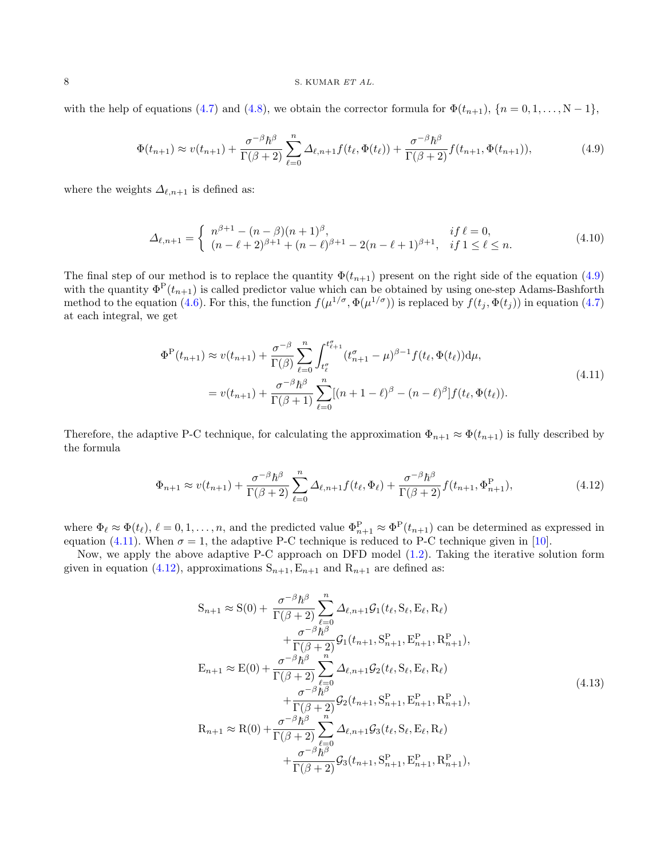#### 8 S. KUMAR ET AL.

with the help of equations [\(4.7\)](#page-6-0) and [\(4.8\)](#page-6-1), we obtain the corrector formula for  $\Phi(t_{n+1}), \{n = 0, 1, \ldots, N-1\}$ ,

<span id="page-7-0"></span>
$$
\Phi(t_{n+1}) \approx v(t_{n+1}) + \frac{\sigma^{-\beta} \hbar^{\beta}}{\Gamma(\beta+2)} \sum_{\ell=0}^{n} \Delta_{\ell,n+1} f(t_{\ell}, \Phi(t_{\ell})) + \frac{\sigma^{-\beta} \hbar^{\beta}}{\Gamma(\beta+2)} f(t_{n+1}, \Phi(t_{n+1})),
$$
\n(4.9)

where the weights  $\Delta_{\ell,n+1}$  is defined as:

$$
\Delta_{\ell,n+1} = \begin{cases}\n n^{\beta+1} - (n-\beta)(n+1)^{\beta}, & \text{if } \ell = 0, \\
 (n-\ell+2)^{\beta+1} + (n-\ell)^{\beta+1} - 2(n-\ell+1)^{\beta+1}, & \text{if } 1 \le \ell \le n.\n\end{cases}\n\tag{4.10}
$$

The final step of our method is to replace the quantity  $\Phi(t_{n+1})$  present on the right side of the equation [\(4.9\)](#page-7-0) with the quantity  $\Phi^{\rm P}(t_{n+1})$  is called predictor value which can be obtained by using one-step Adams-Bashforth method to the equation [\(4.6\)](#page-6-2). For this, the function  $f(\mu^{1/\sigma}, \Phi(\mu^{1/\sigma}))$  is replaced by  $f(t_j, \Phi(t_j))$  in equation [\(4.7\)](#page-6-0) at each integral, we get

$$
\Phi^{\mathcal{P}}(t_{n+1}) \approx v(t_{n+1}) + \frac{\sigma^{-\beta}}{\Gamma(\beta)} \sum_{\ell=0}^{n} \int_{t_{\ell}^{\sigma}}^{t_{\ell+1}^{\sigma}} (t_{n+1}^{\sigma} - \mu)^{\beta-1} f(t_{\ell}, \Phi(t_{\ell})) \, d\mu,
$$
\n
$$
= v(t_{n+1}) + \frac{\sigma^{-\beta} \hbar^{\beta}}{\Gamma(\beta+1)} \sum_{\ell=0}^{n} [(n+1-\ell)^{\beta} - (n-\ell)^{\beta}] f(t_{\ell}, \Phi(t_{\ell})).
$$
\n(4.11)

<span id="page-7-1"></span>Therefore, the adaptive P-C technique, for calculating the approximation  $\Phi_{n+1} \approx \Phi(t_{n+1})$  is fully described by the formula

<span id="page-7-2"></span>
$$
\Phi_{n+1} \approx v(t_{n+1}) + \frac{\sigma^{-\beta} \hbar^{\beta}}{\Gamma(\beta+2)} \sum_{\ell=0}^{n} \Delta_{\ell,n+1} f(t_{\ell}, \Phi_{\ell}) + \frac{\sigma^{-\beta} \hbar^{\beta}}{\Gamma(\beta+2)} f(t_{n+1}, \Phi_{n+1}^{P}), \tag{4.12}
$$

where  $\Phi_{\ell} \approx \Phi(t_{\ell}), \ell = 0, 1, \ldots, n$ , and the predicted value  $\Phi_{n+1}^{\mathbf{P}} \approx \Phi^{\mathbf{P}}(t_{n+1})$  can be determined as expressed in equation [\(4.11\)](#page-7-1). When  $\sigma = 1$ , the adaptive P-C technique is reduced to P-C technique given in [\[10\]](#page-11-30).

Now, we apply the above adaptive P-C approach on DFD model [\(1.2\)](#page-1-1). Taking the iterative solution form given in equation [\(4.12\)](#page-7-2), approximations  $S_{n+1}, E_{n+1}$  and  $R_{n+1}$  are defined as:

$$
S_{n+1} \approx S(0) + \frac{\sigma^{-\beta} \hbar^{\beta}}{\Gamma(\beta+2)} \sum_{\ell=0}^{n} \Delta_{\ell,n+1} \mathcal{G}_{1}(t_{\ell}, S_{\ell}, E_{\ell}, R_{\ell}) + \frac{\sigma^{-\beta} \hbar^{\beta}}{\Gamma(\beta+2)} \mathcal{G}_{1}(t_{n+1}, S_{n+1}^{P}, E_{n+1}^{P}, R_{n+1}^{P}), E_{n+1} \approx E(0) + \frac{\sigma^{-\beta} \hbar^{\beta}}{\Gamma(\beta+2)} \sum_{\ell=0}^{n} \Delta_{\ell,n+1} \mathcal{G}_{2}(t_{\ell}, S_{\ell}, E_{\ell}, R_{\ell}) + \frac{\sigma^{-\beta} \hbar^{\beta}}{\Gamma(\beta+2)} \mathcal{G}_{2}(t_{n+1}, S_{n+1}^{P}, E_{n+1}^{P}, R_{n+1}^{P}), R_{n+1} \approx R(0) + \frac{\sigma^{-\beta} \hbar^{\beta}}{\Gamma(\beta+2)} \sum_{\ell=0}^{n} \Delta_{\ell,n+1} \mathcal{G}_{3}(t_{\ell}, S_{\ell}, E_{\ell}, R_{\ell}) + \frac{\sigma^{-\beta} \hbar^{\beta}}{\Gamma(\beta+2)} \mathcal{G}_{3}(t_{n+1}, S_{n+1}^{P}, E_{n+1}^{P}, R_{n+1}^{P}),
$$
\n(4.13)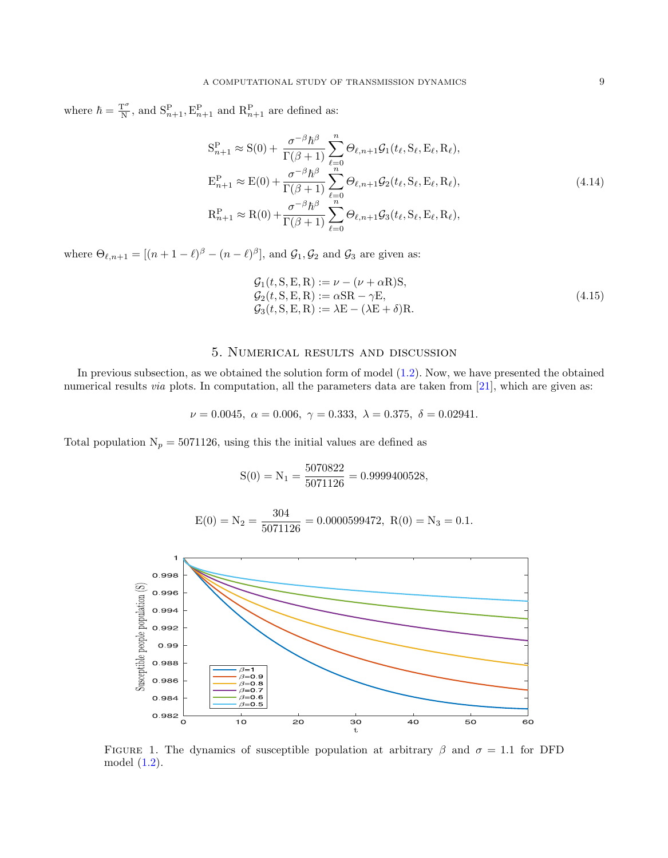where  $\hbar = \frac{T^{\sigma}}{N}$  $\frac{\Gamma^{\sigma}}{N}$ , and  $S_{n+1}^{P}$ ,  $E_{n+1}^{P}$  and  $R_{n+1}^{P}$  are defined as:

$$
S_{n+1}^{P} \approx S(0) + \frac{\sigma^{-\beta} \hbar^{\beta}}{\Gamma(\beta+1)} \sum_{\ell=0}^{n} \Theta_{\ell,n+1} \mathcal{G}_{1}(t_{\ell}, S_{\ell}, E_{\ell}, R_{\ell}),
$$
  
\n
$$
E_{n+1}^{P} \approx E(0) + \frac{\sigma^{-\beta} \hbar^{\beta}}{\Gamma(\beta+1)} \sum_{\ell=0}^{n} \Theta_{\ell,n+1} \mathcal{G}_{2}(t_{\ell}, S_{\ell}, E_{\ell}, R_{\ell}),
$$
  
\n
$$
R_{n+1}^{P} \approx R(0) + \frac{\sigma^{-\beta} \hbar^{\beta}}{\Gamma(\beta+1)} \sum_{\ell=0}^{n} \Theta_{\ell,n+1} \mathcal{G}_{3}(t_{\ell}, S_{\ell}, E_{\ell}, R_{\ell}),
$$
\n(4.14)

where  $\Theta_{\ell,n+1} = [(n+1-\ell)^{\beta} - (n-\ell)^{\beta}],$  and  $\mathcal{G}_1, \mathcal{G}_2$  and  $\mathcal{G}_3$  are given as:

$$
G_1(t, S, E, R) := \nu - (\nu + \alpha R)S,
$$
  
\n
$$
G_2(t, S, E, R) := \alpha S R - \gamma E,
$$
  
\n
$$
G_3(t, S, E, R) := \lambda E - (\lambda E + \delta)R.
$$
\n(4.15)

# 5. Numerical results and discussion

<span id="page-8-0"></span>In previous subsection, as we obtained the solution form of model [\(1.2\)](#page-1-1). Now, we have presented the obtained numerical results *via* plots. In computation, all the parameters data are taken from [\[21\]](#page-11-4), which are given as:

$$
\nu = 0.0045, \ \alpha = 0.006, \ \gamma = 0.333, \ \lambda = 0.375, \ \delta = 0.02941.
$$

Total population  $N_p = 5071126$ , using this the initial values are defined as

$$
S(0) = N_1 = \frac{5070822}{5071126} = 0.9999400528,
$$

$$
E(0) = N_2 = \frac{304}{5071126} = 0.0000599472, R(0) = N_3 = 0.1.
$$



<span id="page-8-1"></span>FIGURE 1. The dynamics of susceptible population at arbitrary  $\beta$  and  $\sigma = 1.1$  for DFD model [\(1.2\)](#page-1-1).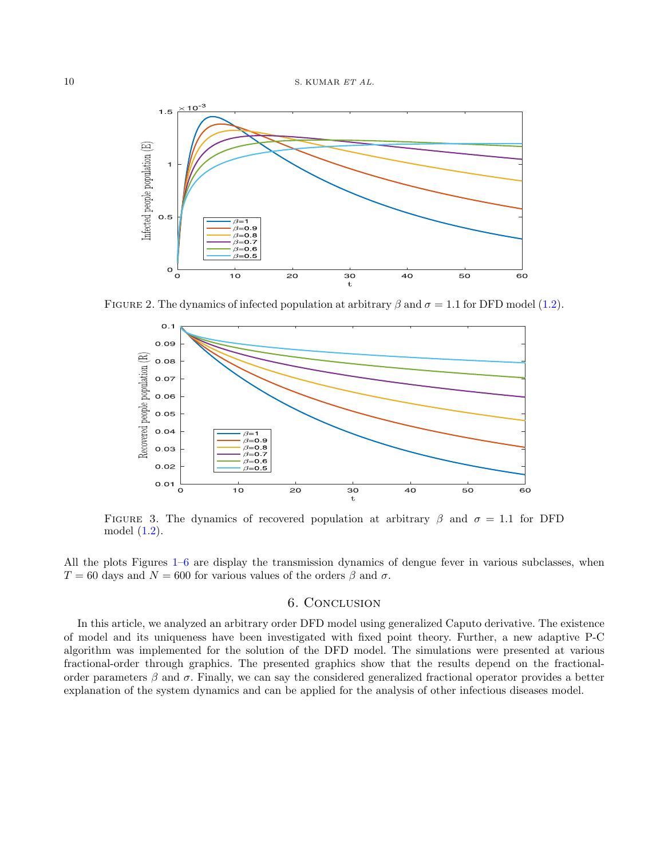$10$  S. KUMAR  $ETAL$ .



FIGURE 2. The dynamics of infected population at arbitrary  $\beta$  and  $\sigma = 1.1$  for DFD model [\(1.2\)](#page-1-1).



FIGURE 3. The dynamics of recovered population at arbitrary  $\beta$  and  $\sigma = 1.1$  for DFD model [\(1.2\)](#page-1-1).

All the plots Figures [1–](#page-8-1)[6](#page-10-0) are display the transmission dynamics of dengue fever in various subclasses, when  $T = 60$  days and  $N = 600$  for various values of the orders  $\beta$  and  $\sigma$ .

# 6. Conclusion

<span id="page-9-0"></span>In this article, we analyzed an arbitrary order DFD model using generalized Caputo derivative. The existence of model and its uniqueness have been investigated with fixed point theory. Further, a new adaptive P-C algorithm was implemented for the solution of the DFD model. The simulations were presented at various fractional-order through graphics. The presented graphics show that the results depend on the fractionalorder parameters  $\beta$  and  $\sigma$ . Finally, we can say the considered generalized fractional operator provides a better explanation of the system dynamics and can be applied for the analysis of other infectious diseases model.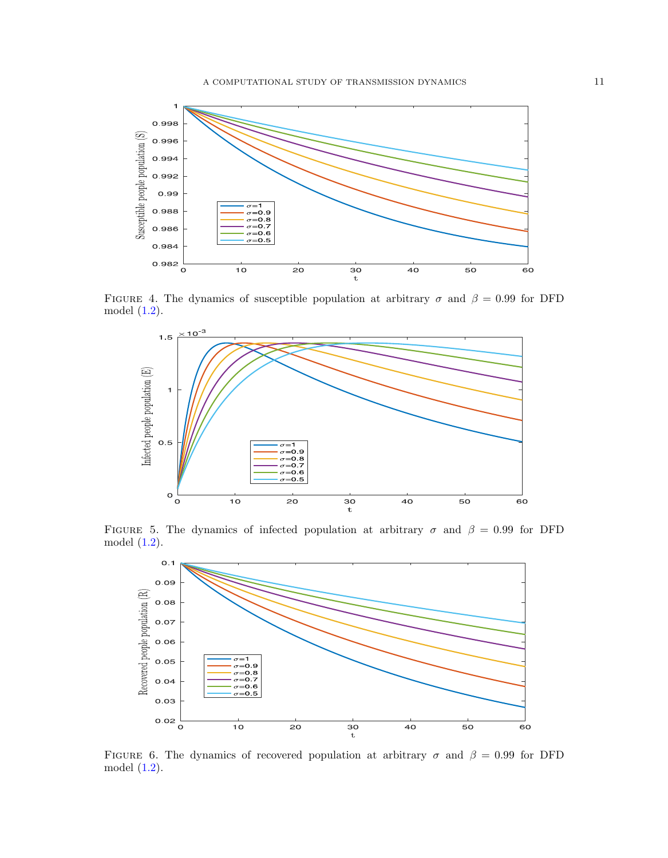

FIGURE 4. The dynamics of susceptible population at arbitrary  $\sigma$  and  $\beta = 0.99$  for DFD model [\(1.2\)](#page-1-1).



FIGURE 5. The dynamics of infected population at arbitrary  $\sigma$  and  $\beta = 0.99$  for DFD model [\(1.2\)](#page-1-1).



<span id="page-10-0"></span>FIGURE 6. The dynamics of recovered population at arbitrary  $\sigma$  and  $\beta = 0.99$  for DFD model [\(1.2\)](#page-1-1).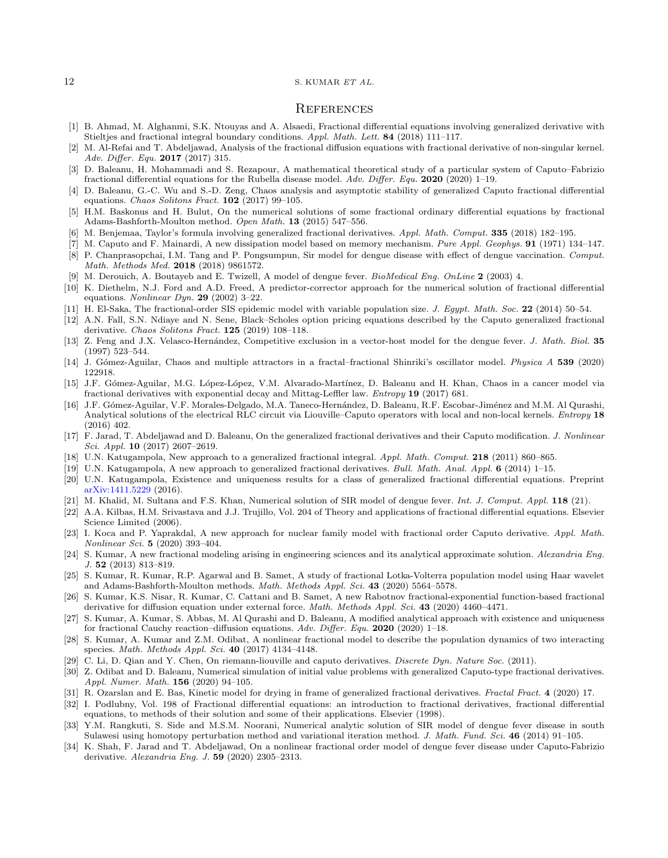#### 12 S. KUMAR ET AL.

#### **REFERENCES**

- <span id="page-11-20"></span>[1] B. Ahmad, M. Alghanmi, S.K. Ntouyas and A. Alsaedi, Fractional differential equations involving generalized derivative with Stieltjes and fractional integral boundary conditions. Appl. Math. Lett. 84 (2018) 111–117.
- <span id="page-11-11"></span>[2] M. Al-Refai and T. Abdeljawad, Analysis of the fractional diffusion equations with fractional derivative of non-singular kernel. Adv. Differ. Equ. 2017 (2017) 315.
- <span id="page-11-7"></span>[3] D. Baleanu, H. Mohammadi and S. Rezapour, A mathematical theoretical study of a particular system of Caputo–Fabrizio fractional differential equations for the Rubella disease model. Adv. Differ. Equ. 2020 (2020) 1–19.
- <span id="page-11-21"></span>[4] D. Baleanu, G.-C. Wu and S.-D. Zeng, Chaos analysis and asymptotic stability of generalized Caputo fractional differential equations. Chaos Solitons Fract. 102 (2017) 99–105.
- <span id="page-11-12"></span>[5] H.M. Baskonus and H. Bulut, On the numerical solutions of some fractional ordinary differential equations by fractional Adams-Bashforth-Moulton method. Open Math. 13 (2015) 547–556.
- <span id="page-11-22"></span>[6] M. Benjemaa, Taylor's formula involving generalized fractional derivatives. Appl. Math. Comput. 335 (2018) 182–195.
- <span id="page-11-17"></span>[7] M. Caputo and F. Mainardi, A new dissipation model based on memory mechanism. Pure Appl. Geophys. **91** (1971) 134–147. [8] P. Chanprasopchai, I.M. Tang and P. Pongsumpun, Sir model for dengue disease with effect of dengue vaccination. Comput.
- <span id="page-11-0"></span>Math. Methods Med. 2018 (2018) 9861572.
- <span id="page-11-1"></span>[9] M. Derouich, A. Boutayeb and E. Twizell, A model of dengue fever. BioMedical Eng. OnLine 2 (2003) 4.
- <span id="page-11-30"></span>[10] K. Diethelm, N.J. Ford and A.D. Freed, A predictor-corrector approach for the numerical solution of fractional differential equations. Nonlinear Dyn. 29 (2002) 3–22.
- <span id="page-11-2"></span>[11] H. El-Saka, The fractional-order SIS epidemic model with variable population size. J. Egypt. Math. Soc. 22 (2014) 50–54.
- <span id="page-11-23"></span>[12] A.N. Fall, S.N. Ndiaye and N. Sene, Black–Scholes option pricing equations described by the Caputo generalized fractional derivative. Chaos Solitons Fract. 125 (2019) 108-118.
- <span id="page-11-3"></span>[13] Z. Feng and J.X. Velasco-Hernández, Competitive exclusion in a vector-host model for the dengue fever. J. Math. Biol. 35 (1997) 523–544.
- <span id="page-11-8"></span>[14] J. G´omez-Aguilar, Chaos and multiple attractors in a fractal–fractional Shinriki's oscillator model. Physica A 539 (2020) 122918.
- <span id="page-11-13"></span>[15] J.F. Gómez-Aguilar, M.G. López-López, V.M. Alvarado-Martínez, D. Baleanu and H. Khan, Chaos in a cancer model via fractional derivatives with exponential decay and Mittag-Leffler law. Entropy 19 (2017) 681.
- <span id="page-11-14"></span>[16] J.F. Gómez-Aguilar, V.F. Morales-Delgado, M.A. Taneco-Hernández, D. Baleanu, R.F. Escobar-Jiménez and M.M. Al Qurashi, Analytical solutions of the electrical RLC circuit via Liouville–Caputo operators with local and non-local kernels. *Entropy* 18 (2016) 402.
- <span id="page-11-24"></span>[17] F. Jarad, T. Abdeljawad and D. Baleanu, On the generalized fractional derivatives and their Caputo modification. J. Nonlinear Sci. Appl. 10 (2017) 2607–2619.
- <span id="page-11-29"></span>[18] U.N. Katugampola, New approach to a generalized fractional integral. Appl. Math. Comput. 218 (2011) 860–865.
- <span id="page-11-18"></span>[19] U.N. Katugampola, A new approach to generalized fractional derivatives. Bull. Math. Anal. Appl. 6 (2014) 1-15.
- <span id="page-11-9"></span>[20] U.N. Katugampola, Existence and uniqueness results for a class of generalized fractional differential equations. Preprint [arXiv:1411.5229](https://arxiv.org/abs/1411.5229) (2016).
- <span id="page-11-4"></span>[21] M. Khalid, M. Sultana and F.S. Khan, Numerical solution of SIR model of dengue fever. Int. J. Comput. Appl. 118 (21).
- <span id="page-11-26"></span>[22] A.A. Kilbas, H.M. Srivastava and J.J. Trujillo, Vol. 204 of Theory and applications of fractional differential equations. Elsevier Science Limited (2006).
- <span id="page-11-10"></span>[23] I. Koca and P. Yaprakdal, A new approach for nuclear family model with fractional order Caputo derivative. Appl. Math. Nonlinear Sci. 5 (2020) 393–404.
- <span id="page-11-15"></span>[24] S. Kumar, A new fractional modeling arising in engineering sciences and its analytical approximate solution. Alexandria Eng. J. 52 (2013) 813–819.
- [25] S. Kumar, R. Kumar, R.P. Agarwal and B. Samet, A study of fractional Lotka-Volterra population model using Haar wavelet and Adams-Bashforth-Moulton methods. Math. Methods Appl. Sci. 43 (2020) 5564–5578.
- [26] S. Kumar, K.S. Nisar, R. Kumar, C. Cattani and B. Samet, A new Rabotnov fractional-exponential function-based fractional derivative for diffusion equation under external force. Math. Methods Appl. Sci. 43 (2020) 4460-4471.
- [27] S. Kumar, A. Kumar, S. Abbas, M. Al Qurashi and D. Baleanu, A modified analytical approach with existence and uniqueness for fractional Cauchy reaction–diffusion equations. Adv. Differ. Equ. 2020 (2020) 1–18.
- <span id="page-11-16"></span>[28] S. Kumar, A. Kumar and Z.M. Odibat, A nonlinear fractional model to describe the population dynamics of two interacting species. Math. Methods Appl. Sci. 40 (2017) 4134–4148.
- <span id="page-11-27"></span>[29] C. Li, D. Qian and Y. Chen, On riemann-liouville and caputo derivatives. *Discrete Dyn. Nature Soc.* (2011).
- <span id="page-11-19"></span>[30] Z. Odibat and D. Baleanu, Numerical simulation of initial value problems with generalized Caputo-type fractional derivatives. Appl. Numer. Math. 156 (2020) 94–105.
- <span id="page-11-25"></span>[31] R. Ozarslan and E. Bas, Kinetic model for drying in frame of generalized fractional derivatives. Fractal Fract. 4 (2020) 17.
- <span id="page-11-28"></span>[32] I. Podlubny, Vol. 198 of Fractional differential equations: an introduction to fractional derivatives, fractional differential equations, to methods of their solution and some of their applications. Elsevier (1998).
- <span id="page-11-5"></span>[33] Y.M. Rangkuti, S. Side and M.S.M. Noorani, Numerical analytic solution of SIR model of dengue fever disease in south Sulawesi using homotopy perturbation method and variational iteration method. J. Math. Fund. Sci. 46 (2014) 91–105.
- <span id="page-11-6"></span>[34] K. Shah, F. Jarad and T. Abdeljawad, On a nonlinear fractional order model of dengue fever disease under Caputo-Fabrizio derivative. Alexandria Eng. J. 59 (2020) 2305–2313.